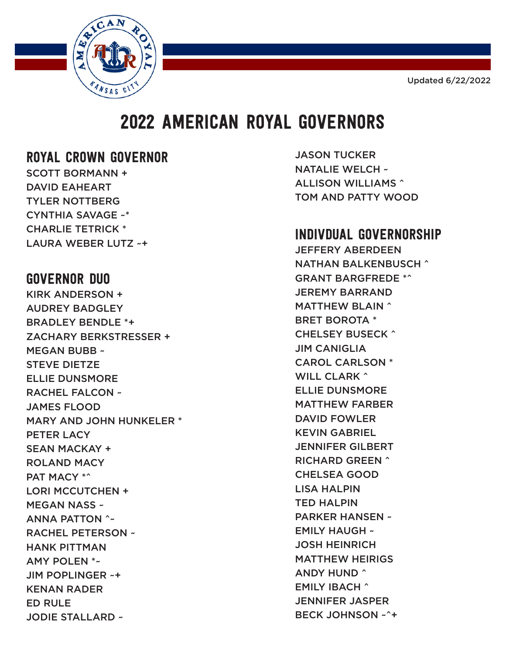Updated 6/22/2022



## 2022 AMERICAN ROYAL GOVERNORS

## ROYAL CROWN GOVERNOR

SCOTT BORMANN + DAVID EAHEART TYLER NOTTBERG CYNTHIA SAVAGE ~\* CHARLIE TETRICK \* LAURA WEBER LUTZ ~+

## GOVERNOR DUO

KIRK ANDERSON + AUDREY BADGLEY BRADLEY BENDLE \*+ ZACHARY BERKSTRESSER + MEGAN BUBB ~ STEVE DIETZE ELLIE DUNSMORE RACHEL FALCON ~ JAMES FLOOD MARY AND JOHN HUNKELER \* PETER LACY SEAN MACKAY + ROLAND MACY PAT MACY \*^ LORI MCCUTCHEN + MEGAN NASS ~ ANNA PATTON ^~ RACHEL PETERSON ~ HANK PITTMAN AMY POLEN \*~ JIM POPLINGER ~+ KENAN RADER ED RULE JODIE STALLARD ~

JASON TUCKER NATALIE WELCH ~ ALLISON WILLIAMS ^ TOM AND PATTY WOOD

## INDIVDUAL GOVERNORSHIP

JEFFERY ABERDEEN NATHAN BALKENBUSCH ^ GRANT BARGFREDE \*^ JEREMY BARRAND MATTHEW BLAIN ^ BRET BOROTA \* CHELSEY BUSECK ^ JIM CANIGLIA CAROL CARLSON \* WILL CLARK ^ ELLIE DUNSMORE MATTHEW FARBER DAVID FOWLER KEVIN GABRIEL JENNIFER GILBERT RICHARD GREEN ^ CHELSEA GOOD LISA HALPIN TED HALPIN PARKER HANSEN ~ EMILY HAUGH ~ JOSH HEINRICH MATTHEW HEIRIGS ANDY HUND ^ EMILY IBACH ^ JENNIFER JASPER BECK JOHNSON ~^+